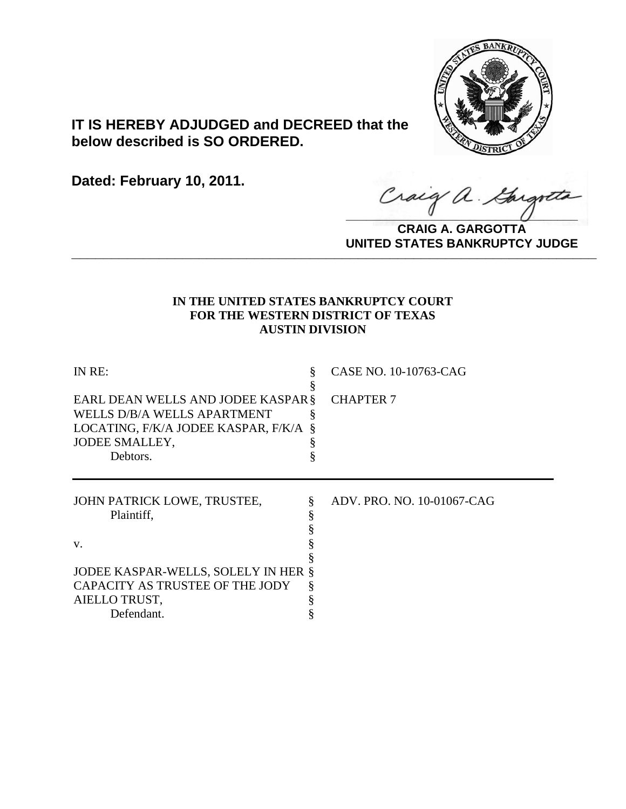

# **IT IS HEREBY ADJUDGED and DECREED that the below described is SO ORDERED.**

**Dated: February 10, 2011.**

Craig a Gargott

**CRAIG A. GARGOTTA UNITED STATES BANKRUPTCY JUDGE PRITED DIATED BARRACT TOT 00DCE** 

## **IN THE UNITED STATES BANKRUPTCY COURT FOR THE WESTERN DISTRICT OF TEXAS AUSTIN DIVISION**

| §       | CASE NO. 10-10763-CAG                                                                                            |
|---------|------------------------------------------------------------------------------------------------------------------|
| \$<br>8 | <b>CHAPTER 7</b>                                                                                                 |
|         | ADV. PRO. NO. 10-01067-CAG                                                                                       |
| Š       |                                                                                                                  |
|         | EARL DEAN WELLS AND JODEE KASPAR §<br>LOCATING, F/K/A JODEE KASPAR, F/K/A<br>JODEE KASPAR-WELLS, SOLELY IN HER § |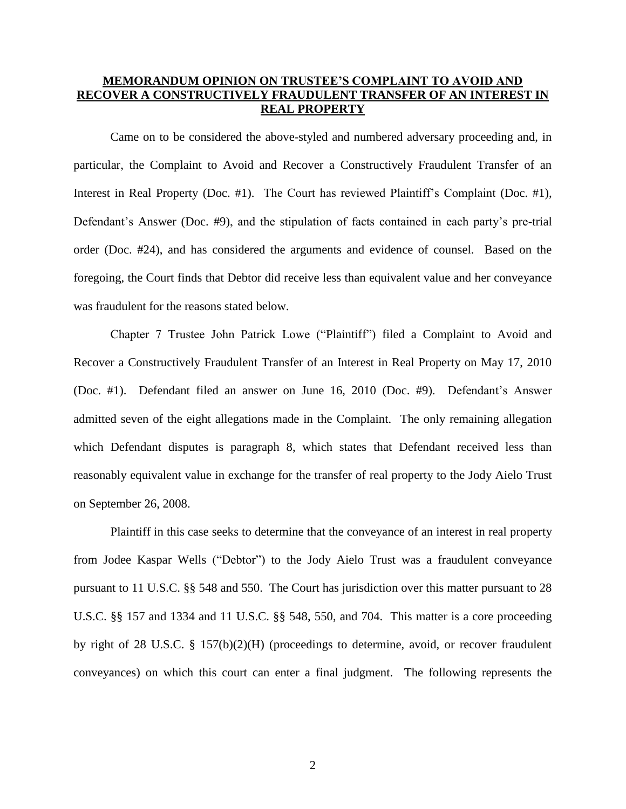## **MEMORANDUM OPINION ON TRUSTEE'S COMPLAINT TO AVOID AND RECOVER A CONSTRUCTIVELY FRAUDULENT TRANSFER OF AN INTEREST IN REAL PROPERTY**

Came on to be considered the above-styled and numbered adversary proceeding and, in particular, the Complaint to Avoid and Recover a Constructively Fraudulent Transfer of an Interest in Real Property (Doc. #1). The Court has reviewed Plaintiff's Complaint (Doc. #1), Defendant's Answer (Doc. #9), and the stipulation of facts contained in each party's pre-trial order (Doc. #24), and has considered the arguments and evidence of counsel. Based on the foregoing, the Court finds that Debtor did receive less than equivalent value and her conveyance was fraudulent for the reasons stated below.

Chapter 7 Trustee John Patrick Lowe ("Plaintiff") filed a Complaint to Avoid and Recover a Constructively Fraudulent Transfer of an Interest in Real Property on May 17, 2010 (Doc. #1). Defendant filed an answer on June 16, 2010 (Doc. #9). Defendant's Answer admitted seven of the eight allegations made in the Complaint. The only remaining allegation which Defendant disputes is paragraph 8, which states that Defendant received less than reasonably equivalent value in exchange for the transfer of real property to the Jody Aielo Trust on September 26, 2008.

Plaintiff in this case seeks to determine that the conveyance of an interest in real property from Jodee Kaspar Wells ("Debtor") to the Jody Aielo Trust was a fraudulent conveyance pursuant to 11 U.S.C. §§ 548 and 550. The Court has jurisdiction over this matter pursuant to 28 U.S.C. §§ 157 and 1334 and 11 U.S.C. §§ 548, 550, and 704. This matter is a core proceeding by right of 28 U.S.C. § 157(b)(2)(H) (proceedings to determine, avoid, or recover fraudulent conveyances) on which this court can enter a final judgment. The following represents the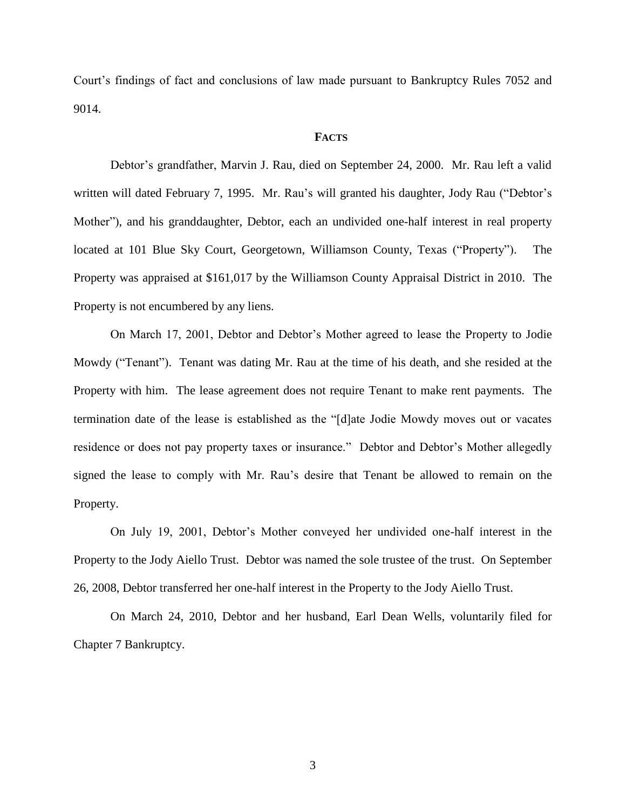Court's findings of fact and conclusions of law made pursuant to Bankruptcy Rules 7052 and 9014.

### **FACTS**

Debtor's grandfather, Marvin J. Rau, died on September 24, 2000. Mr. Rau left a valid written will dated February 7, 1995. Mr. Rau's will granted his daughter, Jody Rau ("Debtor's Mother"), and his granddaughter, Debtor, each an undivided one-half interest in real property located at 101 Blue Sky Court, Georgetown, Williamson County, Texas ("Property"). The Property was appraised at \$161,017 by the Williamson County Appraisal District in 2010. The Property is not encumbered by any liens.

On March 17, 2001, Debtor and Debtor's Mother agreed to lease the Property to Jodie Mowdy ("Tenant"). Tenant was dating Mr. Rau at the time of his death, and she resided at the Property with him. The lease agreement does not require Tenant to make rent payments. The termination date of the lease is established as the "[d]ate Jodie Mowdy moves out or vacates residence or does not pay property taxes or insurance." Debtor and Debtor's Mother allegedly signed the lease to comply with Mr. Rau's desire that Tenant be allowed to remain on the Property.

On July 19, 2001, Debtor's Mother conveyed her undivided one-half interest in the Property to the Jody Aiello Trust. Debtor was named the sole trustee of the trust. On September 26, 2008, Debtor transferred her one-half interest in the Property to the Jody Aiello Trust.

On March 24, 2010, Debtor and her husband, Earl Dean Wells, voluntarily filed for Chapter 7 Bankruptcy.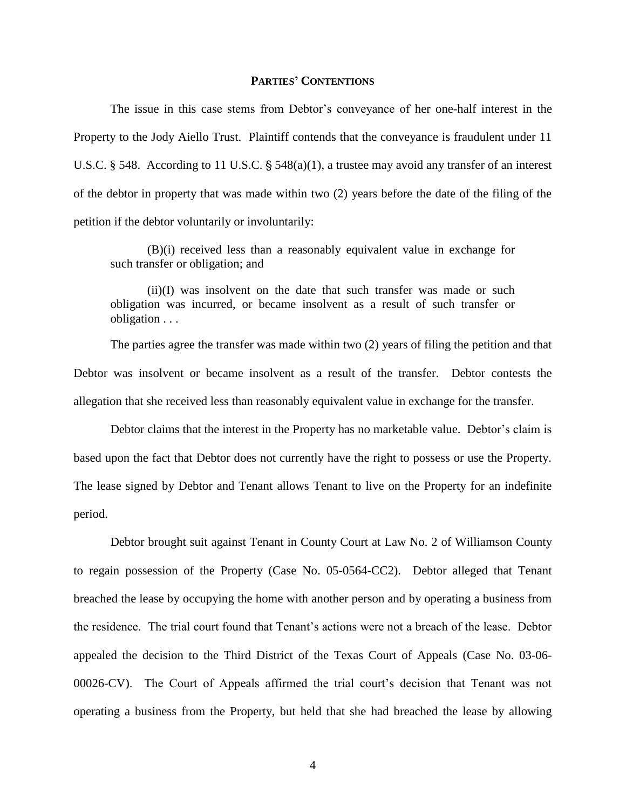#### **PARTIES' CONTENTIONS**

The issue in this case stems from Debtor's conveyance of her one-half interest in the Property to the Jody Aiello Trust. Plaintiff contends that the conveyance is fraudulent under 11 U.S.C. § 548. According to 11 U.S.C. § 548(a)(1), a trustee may avoid any transfer of an interest of the debtor in property that was made within two (2) years before the date of the filing of the petition if the debtor voluntarily or involuntarily:

(B)(i) received less than a reasonably equivalent value in exchange for such transfer or obligation; and

(ii)(I) was insolvent on the date that such transfer was made or such obligation was incurred, or became insolvent as a result of such transfer or obligation . . .

The parties agree the transfer was made within two (2) years of filing the petition and that Debtor was insolvent or became insolvent as a result of the transfer. Debtor contests the allegation that she received less than reasonably equivalent value in exchange for the transfer.

Debtor claims that the interest in the Property has no marketable value. Debtor's claim is based upon the fact that Debtor does not currently have the right to possess or use the Property. The lease signed by Debtor and Tenant allows Tenant to live on the Property for an indefinite period.

Debtor brought suit against Tenant in County Court at Law No. 2 of Williamson County to regain possession of the Property (Case No. 05-0564-CC2). Debtor alleged that Tenant breached the lease by occupying the home with another person and by operating a business from the residence. The trial court found that Tenant's actions were not a breach of the lease. Debtor appealed the decision to the Third District of the Texas Court of Appeals (Case No. 03-06- 00026-CV). The Court of Appeals affirmed the trial court's decision that Tenant was not operating a business from the Property, but held that she had breached the lease by allowing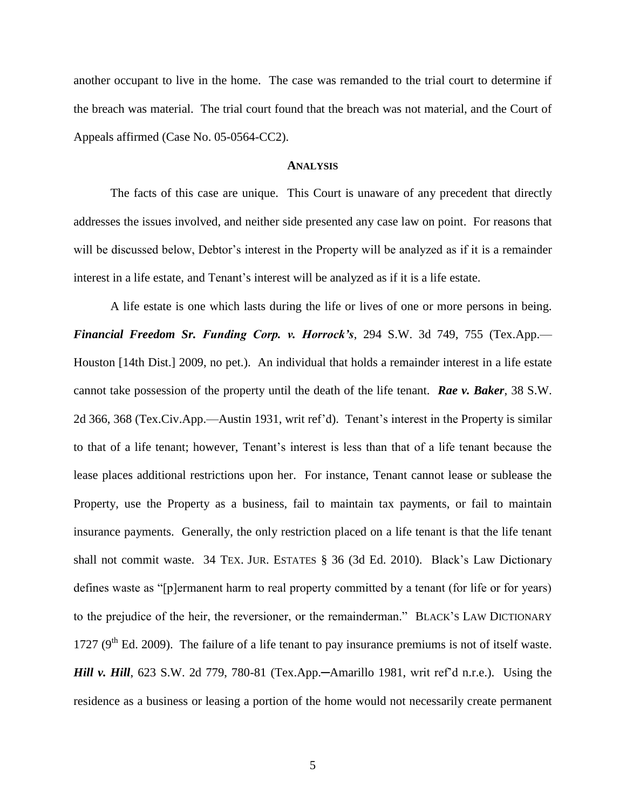another occupant to live in the home. The case was remanded to the trial court to determine if the breach was material. The trial court found that the breach was not material, and the Court of Appeals affirmed (Case No. 05-0564-CC2).

### **ANALYSIS**

The facts of this case are unique. This Court is unaware of any precedent that directly addresses the issues involved, and neither side presented any case law on point. For reasons that will be discussed below, Debtor's interest in the Property will be analyzed as if it is a remainder interest in a life estate, and Tenant's interest will be analyzed as if it is a life estate.

A life estate is one which lasts during the life or lives of one or more persons in being. *Financial Freedom Sr. Funding Corp. v. Horrock's*, 294 S.W. 3d 749, 755 (Tex.App.— Houston [14th Dist.] 2009, no pet.). An individual that holds a remainder interest in a life estate cannot take possession of the property until the death of the life tenant. *Rae v. Baker*, 38 S.W. 2d 366, 368 (Tex.Civ.App.—Austin 1931, writ ref'd). Tenant's interest in the Property is similar to that of a life tenant; however, Tenant's interest is less than that of a life tenant because the lease places additional restrictions upon her. For instance, Tenant cannot lease or sublease the Property, use the Property as a business, fail to maintain tax payments, or fail to maintain insurance payments. Generally, the only restriction placed on a life tenant is that the life tenant shall not commit waste. 34 TEX. JUR. ESTATES § 36 (3d Ed. 2010). Black's Law Dictionary defines waste as "[p]ermanent harm to real property committed by a tenant (for life or for years) to the prejudice of the heir, the reversioner, or the remainderman." BLACK'S LAW DICTIONARY 1727 ( $9<sup>th</sup>$  Ed. 2009). The failure of a life tenant to pay insurance premiums is not of itself waste. *Hill v. Hill*, 623 S.W. 2d 779, 780-81 (Tex.App.—Amarillo 1981, writ ref'd n.r.e.). Using the residence as a business or leasing a portion of the home would not necessarily create permanent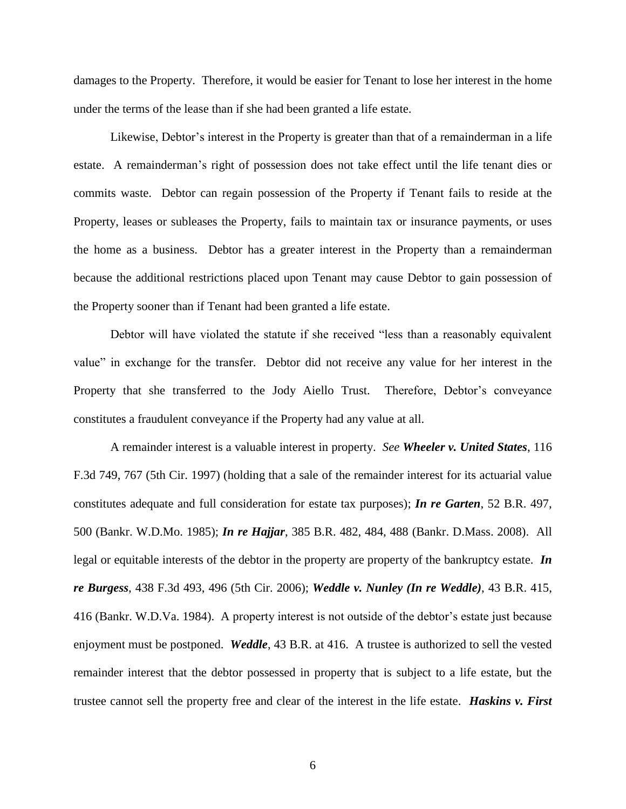damages to the Property. Therefore, it would be easier for Tenant to lose her interest in the home under the terms of the lease than if she had been granted a life estate.

Likewise, Debtor's interest in the Property is greater than that of a remainderman in a life estate. A remainderman's right of possession does not take effect until the life tenant dies or commits waste. Debtor can regain possession of the Property if Tenant fails to reside at the Property, leases or subleases the Property, fails to maintain tax or insurance payments, or uses the home as a business. Debtor has a greater interest in the Property than a remainderman because the additional restrictions placed upon Tenant may cause Debtor to gain possession of the Property sooner than if Tenant had been granted a life estate.

Debtor will have violated the statute if she received "less than a reasonably equivalent value" in exchange for the transfer. Debtor did not receive any value for her interest in the Property that she transferred to the Jody Aiello Trust. Therefore, Debtor's conveyance constitutes a fraudulent conveyance if the Property had any value at all.

A remainder interest is a valuable interest in property. *See Wheeler v. United States*, 116 F.3d 749, 767 (5th Cir. 1997) (holding that a sale of the remainder interest for its actuarial value constitutes adequate and full consideration for estate tax purposes); *In re Garten*, 52 B.R. 497, 500 (Bankr. W.D.Mo. 1985); *In re Hajjar*, 385 B.R. 482, 484, 488 (Bankr. D.Mass. 2008). All legal or equitable interests of the debtor in the property are property of the bankruptcy estate. *In re Burgess*, 438 F.3d 493, 496 (5th Cir. 2006); *Weddle v. Nunley (In re Weddle)*, 43 B.R. 415, 416 (Bankr. W.D.Va. 1984). A property interest is not outside of the debtor's estate just because enjoyment must be postponed. *Weddle*, 43 B.R. at 416. A trustee is authorized to sell the vested remainder interest that the debtor possessed in property that is subject to a life estate, but the trustee cannot sell the property free and clear of the interest in the life estate. *Haskins v. First*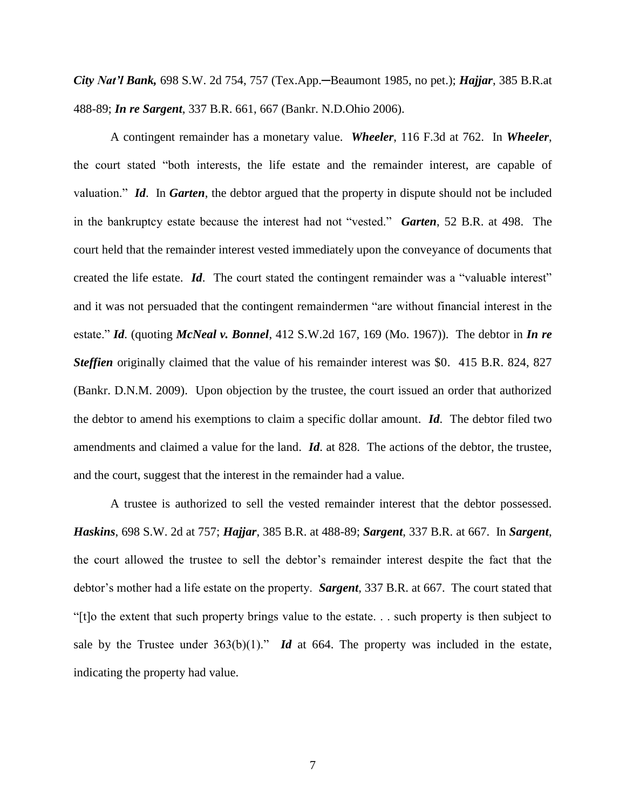*City Nat'l Bank,* 698 S.W. 2d 754, 757 (Tex.App.─Beaumont 1985, no pet.); *Hajjar*, 385 B.R.at 488-89; *In re Sargent*, 337 B.R. 661, 667 (Bankr. N.D.Ohio 2006).

A contingent remainder has a monetary value. *Wheeler*, 116 F.3d at 762. In *Wheeler*, the court stated "both interests, the life estate and the remainder interest, are capable of valuation." *Id*. In *Garten*, the debtor argued that the property in dispute should not be included in the bankruptcy estate because the interest had not "vested." *Garten*, 52 B.R. at 498. The court held that the remainder interest vested immediately upon the conveyance of documents that created the life estate. *Id*. The court stated the contingent remainder was a "valuable interest" and it was not persuaded that the contingent remaindermen "are without financial interest in the estate." *Id*. (quoting *McNeal v. Bonnel*, 412 S.W.2d 167, 169 (Mo. 1967)). The debtor in *In re Steffien* originally claimed that the value of his remainder interest was \$0. 415 B.R. 824, 827 (Bankr. D.N.M. 2009). Upon objection by the trustee, the court issued an order that authorized the debtor to amend his exemptions to claim a specific dollar amount. *Id*. The debtor filed two amendments and claimed a value for the land. *Id*. at 828. The actions of the debtor, the trustee, and the court, suggest that the interest in the remainder had a value.

A trustee is authorized to sell the vested remainder interest that the debtor possessed. *Haskins*, 698 S.W. 2d at 757; *Hajjar*, 385 B.R. at 488-89; *Sargent*, 337 B.R. at 667. In *Sargent*, the court allowed the trustee to sell the debtor's remainder interest despite the fact that the debtor's mother had a life estate on the property. *Sargent*, 337 B.R. at 667. The court stated that "[t]o the extent that such property brings value to the estate. . . such property is then subject to sale by the Trustee under  $363(b)(1)$ ." *Id* at 664. The property was included in the estate, indicating the property had value.